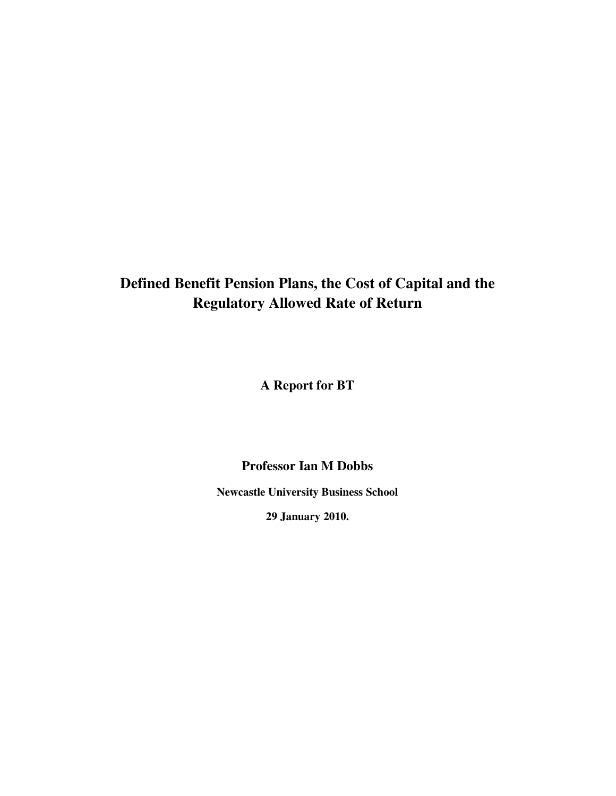# **Defined Benefit Pension Plans, the Cost of Capital and the Regulatory Allowed Rate of Return**

**A Report for BT**

**Professor Ian M Dobbs**

**Newcastle University Business School**

**29 January 2010.**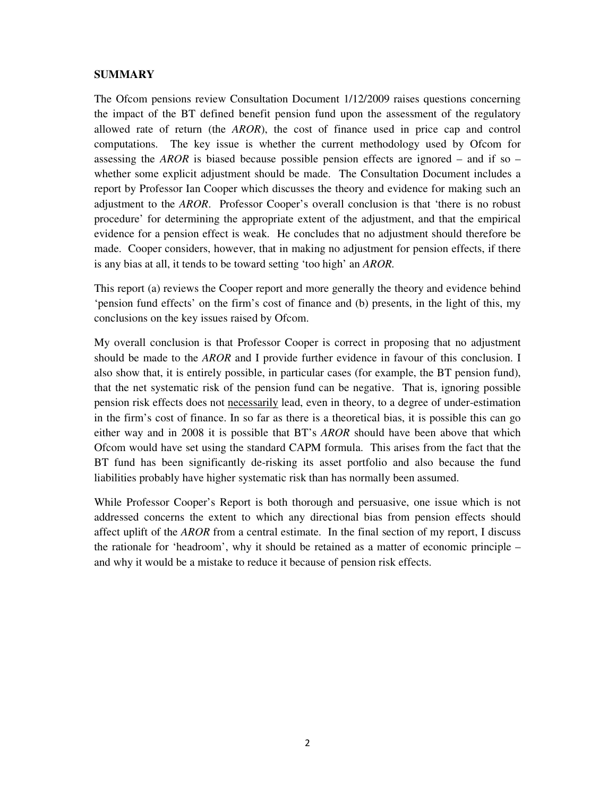#### **SUMMARY**

The Ofcom pensions review Consultation Document 1/12/2009 raises questions concerning the impact of the BT defined benefit pension fund upon the assessment of the regulatory allowed rate of return (the *AROR*), the cost of finance used in price cap and control computations. The key issue is whether the current methodology used by Ofcom for assessing the *AROR* is biased because possible pension effects are ignored – and if so – whether some explicit adjustment should be made. The Consultation Document includes a report by Professor Ian Cooper which discusses the theory and evidence for making such an adjustment to the *AROR*. Professor Cooper's overall conclusion is that 'there is no robust procedure' for determining the appropriate extent of the adjustment, and that the empirical evidence for a pension effect is weak. He concludes that no adjustment should therefore be made. Cooper considers, however, that in making no adjustment for pension effects, if there is any bias at all, it tends to be toward setting 'too high' an *AROR.*

This report (a) reviews the Cooper report and more generally the theory and evidence behind 'pension fund effects' on the firm's cost of finance and (b) presents, in the light of this, my conclusions on the key issues raised by Ofcom.

My overall conclusion is that Professor Cooper is correct in proposing that no adjustment should be made to the *AROR* and I provide further evidence in favour of this conclusion. I also show that, it is entirely possible, in particular cases (for example, the BT pension fund), that the net systematic risk of the pension fund can be negative. That is, ignoring possible pension risk effects does not necessarily lead, even in theory, to a degree of under-estimation in the firm's cost of finance. In so far as there is a theoretical bias, it is possible this can go either way and in 2008 it is possible that BT's *AROR* should have been above that which Ofcom would have set using the standard CAPM formula. This arises from the fact that the BT fund has been significantly de-risking its asset portfolio and also because the fund liabilities probably have higher systematic risk than has normally been assumed.

While Professor Cooper's Report is both thorough and persuasive, one issue which is not addressed concerns the extent to which any directional bias from pension effects should affect uplift of the *AROR* from a central estimate. In the final section of my report, I discuss the rationale for 'headroom', why it should be retained as a matter of economic principle – and why it would be a mistake to reduce it because of pension risk effects.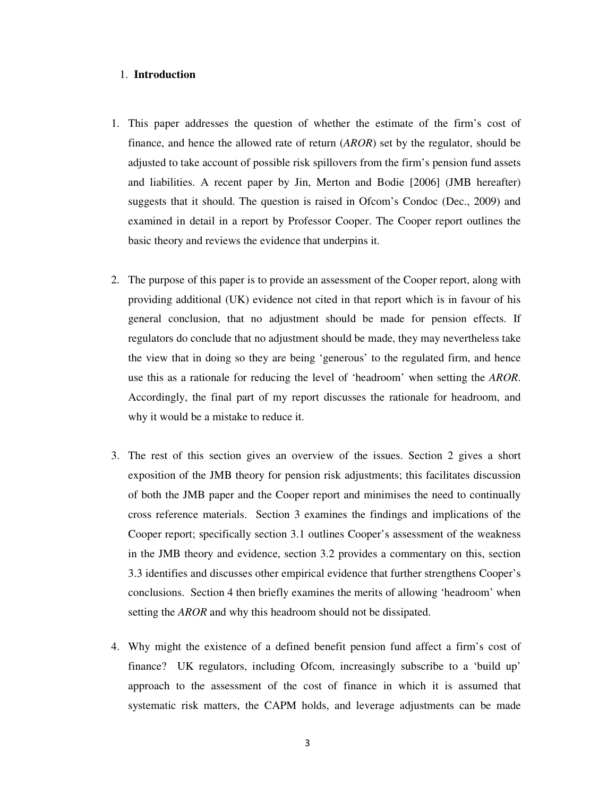- 1. This paper addresses the question of whether the estimate of the firm's cost of finance, and hence the allowed rate of return (*AROR*) set by the regulator, should be adjusted to take account of possible risk spillovers from the firm's pension fund assets and liabilities. A recent paper by Jin, Merton and Bodie [2006] (JMB hereafter) suggests that it should. The question is raised in Ofcom's Condoc (Dec., 2009) and examined in detail in a report by Professor Cooper. The Cooper report outlines the basic theory and reviews the evidence that underpins it.
- 2. The purpose of this paper is to provide an assessment of the Cooper report, along with providing additional (UK) evidence not cited in that report which is in favour of his general conclusion, that no adjustment should be made for pension effects. If regulators do conclude that no adjustment should be made, they may nevertheless take the view that in doing so they are being 'generous' to the regulated firm, and hence use this as a rationale for reducing the level of 'headroom' when setting the *AROR*. Accordingly, the final part of my report discusses the rationale for headroom, and why it would be a mistake to reduce it.
- 1. **Introduction**<br>
This paper addresses the question of<br>
finance, and hence the allowed rate of j<br>
adjusted to take account of possible risk<br>
and liabilities. A recent paper by Jin,<br>
suggests that it should. The question i 3. The rest of this section gives an overview of the issues. Section 2 gives a short exposition of the JMB theory for pension risk adjustments; this facilitates discussion of both the JMB paper and the Cooper report and minimises the need to continually cross reference materials. Section 3 examines the findings and implications of the Cooper report; specifically section 3.1 outlines Cooper's assessment of the weakness in the JMB theory and evidence, section 3.2 provides a commentary on this, section 3.3 identifies and discusses other empirical evidence that further strengthens Cooper's conclusions. Section 4 then briefly examines the merits of allowing 'headroom' when setting the *AROR* and why this headroom should not be dissipated.
- 4. Why might the existence of a defined benefit pension fund affect a firm's cost of finance? UK regulators, including Ofcom, increasingly subscribe to a 'build up' approach to the assessment of the cost of finance in which it is assumed that systematic risk matters, the CAPM holds, and leverage adjustments can be made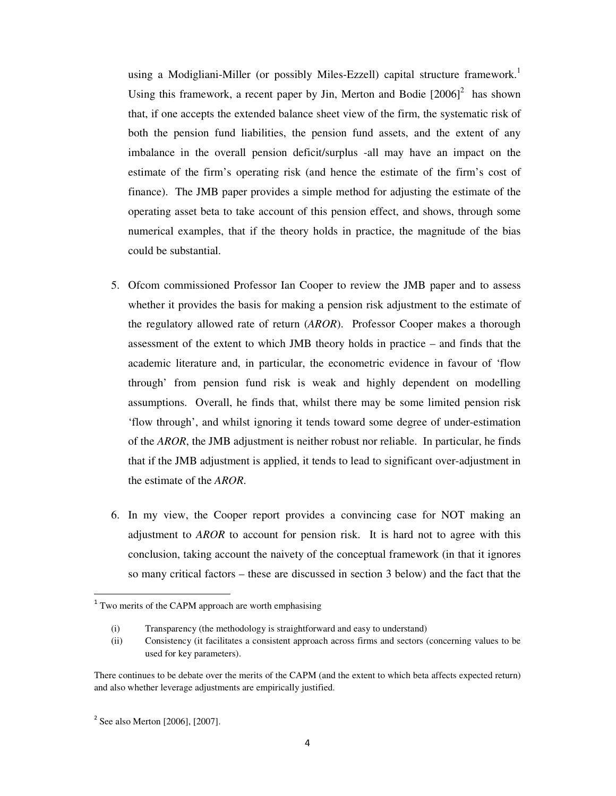using a Modigliani-Miller (or possibly Miles-Ezzell) capital structure framework.<sup>1</sup> Using this framework, a recent paper by Jin, Merton and Bodie  $[2006]$ <sup>2</sup> has shown that, if one accepts the extended balance sheet view of the firm, the systematic risk of both the pension fund liabilities, the pension fund assets, and the extent of any imbalance in the overall pension deficit/surplus -all may have an impact on the estimate of the firm's operating risk (and hence the estimate of the firm's cost of finance). The JMB paper provides a simple method for adjusting the estimate of the operating asset beta to take account of this pension effect, and shows, through some numerical examples, that if the theory holds in practice, the magnitude of the bias could be substantial.

- 5. Ofcom commissioned Professor Ian Cooper to review the JMB paper and to assess whether it provides the basis for making a pension risk adjustment to the estimate of the regulatory allowed rate of return (*AROR*). Professor Cooper makes a thorough assessment of the extent to which JMB theory holds in practice – and finds that the academic literature and, in particular, the econometric evidence in favour of 'flow through' from pension fund risk is weak and highly dependent on modelling assumptions. Overall, he finds that, whilst there may be some limited pension risk 'flow through', and whilst ignoring it tends toward some degree of under-estimation of the *AROR*, the JMB adjustment is neither robust nor reliable. In particular, he finds that if the JMB adjustment is applied, it tends to lead to significant over-adjustment in the estimate of the *AROR*.
- 6. In my view, the Cooper report provides a convincing case for NOT making an adjustment to *AROR* to account for pension risk. It is hard not to agree with this conclusion, taking account the naivety of the conceptual framework (in that it ignores so many critical factors – these are discussed in section 3 below) and the fact that the

-------

-----------------------------------------------

<sup>-</sup>----- $1$  Two merits of the CAPM approach are worth emphasising

<sup>(</sup>i) Transparency (the methodology is straightforward and easy to understand)

<sup>(</sup>ii) Consistency (it facilitates a consistent approach across firms and sectors (concerning values to be used for key parameters).

There continues to be debate over the merits of the CAPM (and the extent to which beta affects expected return) and also whether leverage adjustments are empirically justified.

 $2$  See also Merton [2006], [2007].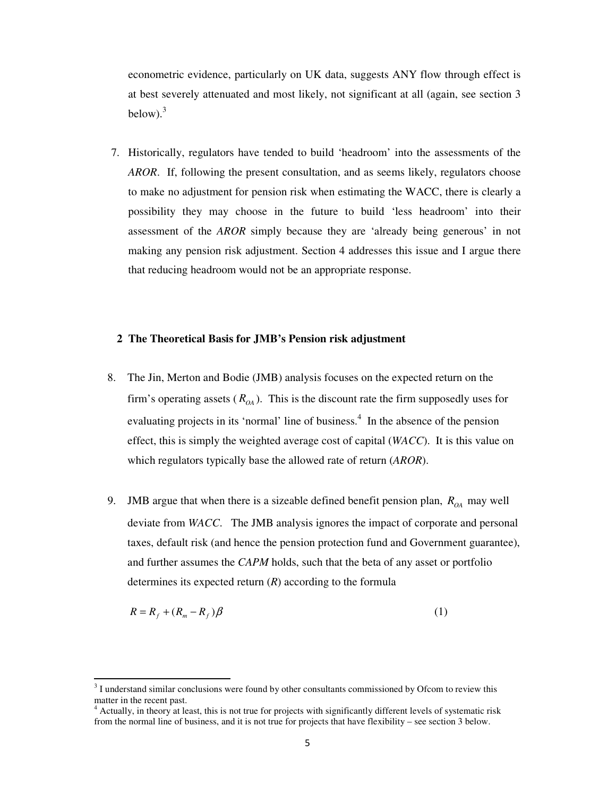econometric evidence, particularly on UK data, suggests ANY flow through effect is at best severely attenuated and most likely, not significant at all (again, see section 3 below). 3

7. Historically, regulators have tended to build 'headroom' into the assessments of the *AROR*. If, following the present consultation, and as seems likely, regulators choose to make no adjustment for pension risk when estimating the WACC, there is clearly a possibility they may choose in the future to build 'less headroom' into their assessment of the *AROR* simply because they are 'already being generous' in not making any pension risk adjustment. Section 4 addresses this issue and I argue there that reducing headroom would not be an appropriate response.

#### **2 The Theoretical Basis for JMB's Pension risk adjustment**

- 8. The Jin, Merton and Bodie (JMB) analysis focuses on the expected return on the firm's operating assets  $(R_{OA})$ . This is the discount rate the firm supposedly uses for evaluating projects in its 'normal' line of business.<sup>4</sup> In the absence of the pension effect, this is simply the weighted average cost of capital (*WACC*). It is this value on which regulators typically base the allowed rate of return (*AROR*).
- 9. JMB argue that when there is a sizeable defined benefit pension plan,  $R_{OA}$  may well deviate from *WACC*. The JMB analysis ignores the impact of corporate and personal taxes, default risk (and hence the pension protection fund and Government guarantee), and further assumes the *CAPM* holds, such that the beta of any asset or portfolio determines its expected return (*R*) according to the formula

$$
R = R_f + (R_m - R_f)\beta
$$
 (1)

 $3<sup>3</sup>$  I understand similar conclusions were found by other consultants commissioned by Ofcom to review this matter in the recent past.

<sup>&</sup>lt;sup>4</sup> Actually, in theory at least, this is not true for projects with significantly different levels of systematic risk from the normal line of business, and it is not true for projects that have flexibility – see section 3 below.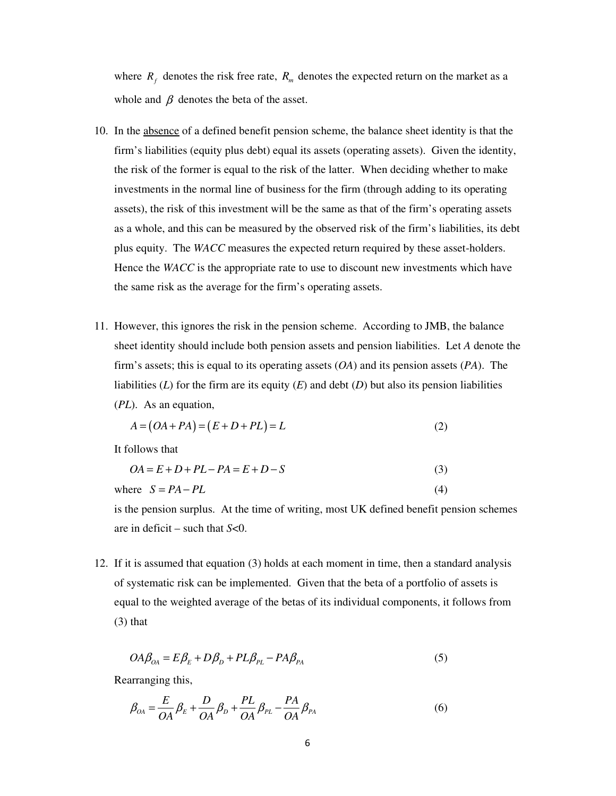where  $R_f$  denotes the risk free rate,  $R_m$  denotes the expected return on the market as a whole and  $\beta$  denotes the beta of the asset.

- 10. In the absence of a defined benefit pension scheme, the balance sheet identity is that the firm's liabilities (equity plus debt) equal its assets (operating assets). Given the identity, the risk of the former is equal to the risk of the latter. When deciding whether to make investments in the normal line of business for the firm (through adding to its operating assets), the risk of this investment will be the same as that of the firm's operating assets as a whole, and this can be measured by the observed risk of the firm's liabilities, its debt plus equity. The *WACC* measures the expected return required by these asset-holders. Hence the *WACC* is the appropriate rate to use to discount new investments which have the same risk as the average for the firm's operating assets.
- 11. However, this ignores the risk in the pension scheme. According to JMB, the balance sheet identity should include both pension assets and pension liabilities. Let *A* denote the firm's assets; this is equal to its operating assets (*OA*) and its pension assets (*PA*). The liabilities  $(L)$  for the firm are its equity  $(E)$  and debt  $(D)$  but also its pension liabilities (*PL*). As an equation,

$$
A = (OA + PA) = (E + D + PL) = L
$$
\n<sup>(2)</sup>

It follows that

$$
OA = E + D + PL - PA = E + D - S
$$
\n
$$
S = PA - PL
$$
\n
$$
(3)
$$
\nwhere  $S = PA - PL$ 

is the pension surplus. At the time of writing, most UK defined benefit pension schemes are in deficit – such that *S*<0.

12. If it is assumed that equation (3) holds at each moment in time, then a standard analysis of systematic risk can be implemented. Given that the beta of a portfolio of assets is equal to the weighted average of the betas of its individual components, it follows from (3) that

$$
OA\beta_{OA} = E\beta_E + D\beta_D + PL\beta_{PL} - PA\beta_{PA}
$$
\n<sup>(5)</sup>

Rearranging this,

$$
\beta_{OA} = \frac{E}{OA} \beta_E + \frac{D}{OA} \beta_D + \frac{PL}{OA} \beta_{PL} - \frac{PA}{OA} \beta_{PA}
$$
\n(6)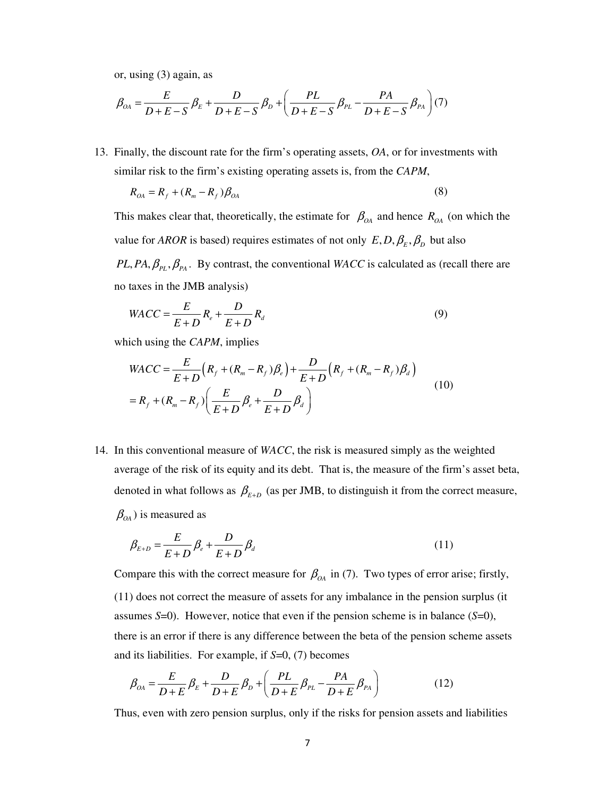or, using (3) again, as

$$
\beta_{OA} = \frac{E}{D + E - S} \beta_E + \frac{D}{D + E - S} \beta_D + \left( \frac{PL}{D + E - S} \beta_{PL} - \frac{PA}{D + E - S} \beta_{PA} \right) (7)
$$

13. Finally, the discount rate for the firm's operating assets, *OA*, or for investments with similar risk to the firm's existing operating assets is, from the *CAPM*,

$$
R_{OA} = R_f + (R_m - R_f) \beta_{OA} \tag{8}
$$

This makes clear that, theoretically, the estimate for  $\beta_{OA}$  and hence  $R_{OA}$  (on which the value for *AROR* is based) requires estimates of not only  $E, D, \beta_E, \beta_D$  but also

 $PL, PA, \beta_{PL}, \beta_{PA}$ . By contrast, the conventional *WACC* is calculated as (recall there are no taxes in the JMB analysis)

$$
WACC = \frac{E}{E+D}R_e + \frac{D}{E+D}R_d
$$
\n<sup>(9)</sup>

which using the *CAPM*, implies

$$
WACC = \frac{E}{E+D} (R_f + (R_m - R_f)\beta_e) + \frac{D}{E+D} (R_f + (R_m - R_f)\beta_d)
$$
  
=  $R_f + (R_m - R_f) \left(\frac{E}{E+D} \beta_e + \frac{D}{E+D} \beta_d\right)$  (10)

14. In this conventional measure of *WACC*, the risk is measured simply as the weighted average of the risk of its equity and its debt. That is, the measure of the firm's asset beta, denoted in what follows as  $\beta_{E+D}$  (as per JMB, to distinguish it from the correct measure,  $\beta_{\scriptscriptstyle{OA}}$ ) is measured as

$$
\beta_{E+D} = \frac{E}{E+D} \beta_e + \frac{D}{E+D} \beta_d \tag{11}
$$

Compare this with the correct measure for  $\beta_{OA}$  in (7). Two types of error arise; firstly, (11) does not correct the measure of assets for any imbalance in the pension surplus (it assumes *S*=0). However, notice that even if the pension scheme is in balance (*S*=0), there is an error if there is any difference between the beta of the pension scheme assets and its liabilities. For example, if *S*=0, (7) becomes

$$
\beta_{0A} = \frac{E}{D+E} \beta_E + \frac{D}{D+E} \beta_D + \left(\frac{PL}{D+E} \beta_{PL} - \frac{PA}{D+E} \beta_{PA}\right) \tag{12}
$$

Thus, even with zero pension surplus, only if the risks for pension assets and liabilities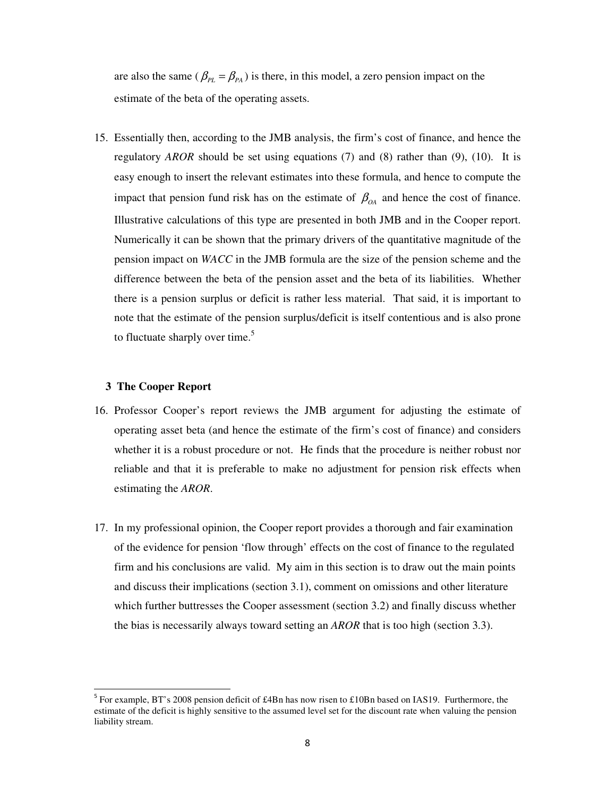are also the same ( $\beta_{PL} = \beta_{PA}$ ) is there, in this model, a zero pension impact on the estimate of the beta of the operating assets.

15. Essentially then, according to the JMB analysis, the firm's cost of finance, and hence the regulatory *AROR* should be set using equations (7) and (8) rather than (9), (10). It is easy enough to insert the relevant estimates into these formula, and hence to compute the impact that pension fund risk has on the estimate of  $\beta_{OA}$  and hence the cost of finance. Illustrative calculations of this type are presented in both JMB and in the Cooper report. Numerically it can be shown that the primary drivers of the quantitative magnitude of the pension impact on *WACC* in the JMB formula are the size of the pension scheme and the difference between the beta of the pension asset and the beta of its liabilities. Whether there is a pension surplus or deficit is rather less material. That said, it is important to note that the estimate of the pension surplus/deficit is itself contentious and is also prone to fluctuate sharply over time.<sup>5</sup>

#### **3 The Cooper Report**

- 16. Professor Cooper's report reviews the JMB argument for adjusting the estimate of operating asset beta (and hence the estimate of the firm's cost of finance) and considers whether it is a robust procedure or not. He finds that the procedure is neither robust nor reliable and that it is preferable to make no adjustment for pension risk effects when estimating the *AROR*.
- 17. In my professional opinion, the Cooper report provides a thorough and fair examination of the evidence for pension 'flow through' effects on the cost of finance to the regulated firm and his conclusions are valid. My aim in this section is to draw out the main points and discuss their implications (section 3.1), comment on omissions and other literature which further buttresses the Cooper assessment (section 3.2) and finally discuss whether the bias is necessarily always toward setting an *AROR* that is too high (section 3.3).

<sup>&</sup>lt;sup>5</sup> For example, BT's 2008 pension deficit of £4Bn has now risen to £10Bn based on IAS19. Furthermore, the estimate of the deficit is highly sensitive to the assumed level set for the discount rate when valuing the pension liability stream.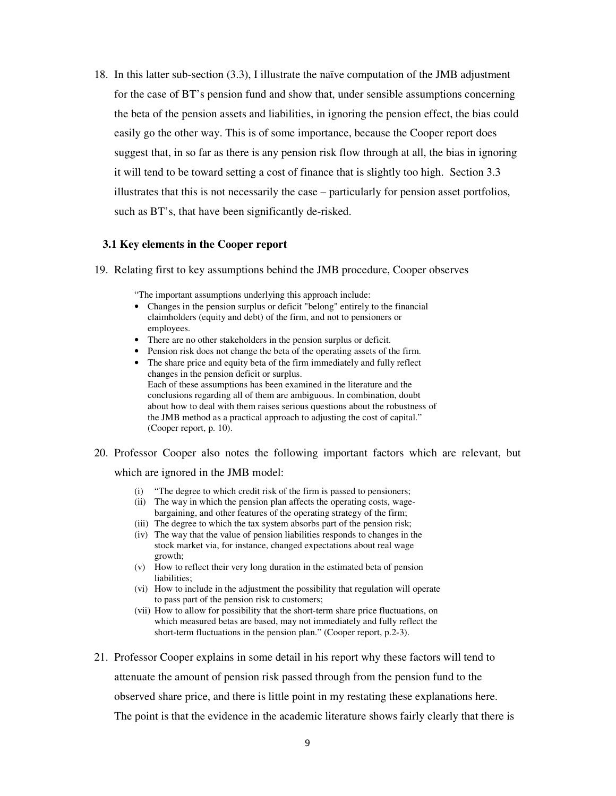18. In this latter sub-section (3.3), I illustrate the naïve computation of the JMB adjustment for the case of BT's pension fund and show that, under sensible assumptions concerning the beta of the pension assets and liabilities, in ignoring the pension effect, the bias could easily go the other way. This is of some importance, because the Cooper report does suggest that, in so far as there is any pension risk flow through at all, the bias in ignoring it will tend to be toward setting a cost of finance that is slightly too high. Section 3.3 illustrates that this is not necessarily the case – particularly for pension asset portfolios, such as BT's, that have been significantly de-risked.

#### **3.1 Key elements in the Cooper report**

19. Relating first to key assumptions behind the JMB procedure, Cooper observes

"The important assumptions underlying this approach include:

- Changes in the pension surplus or deficit "belong" entirely to the financial claimholders (equity and debt) of the firm, and not to pensioners or employees.
- There are no other stakeholders in the pension surplus or deficit.
- Pension risk does not change the beta of the operating assets of the firm.
- The share price and equity beta of the firm immediately and fully reflect changes in the pension deficit or surplus. Each of these assumptions has been examined in the literature and the conclusions regarding all of them are ambiguous. In combination, doubt about how to deal with them raises serious questions about the robustness of the JMB method as a practical approach to adjusting the cost of capital." (Cooper report, p. 10).

### 20. Professor Cooper also notes the following important factors which are relevant, but

which are ignored in the JMB model:

- (i) "The degree to which credit risk of the firm is passed to pensioners;
- (ii) The way in which the pension plan affects the operating costs, wagebargaining, and other features of the operating strategy of the firm;
- (iii) The degree to which the tax system absorbs part of the pension risk;
- (iv) The way that the value of pension liabilities responds to changes in the stock market via, for instance, changed expectations about real wage growth;
- (v) How to reflect their very long duration in the estimated beta of pension liabilities;
- (vi) How to include in the adjustment the possibility that regulation will operate to pass part of the pension risk to customers;
- (vii) How to allow for possibility that the short-term share price fluctuations, on which measured betas are based, may not immediately and fully reflect the short-term fluctuations in the pension plan." (Cooper report, p.2-3).
- 21. Professor Cooper explains in some detail in his report why these factors will tend to attenuate the amount of pension risk passed through from the pension fund to the observed share price, and there is little point in my restating these explanations here. The point is that the evidence in the academic literature shows fairly clearly that there is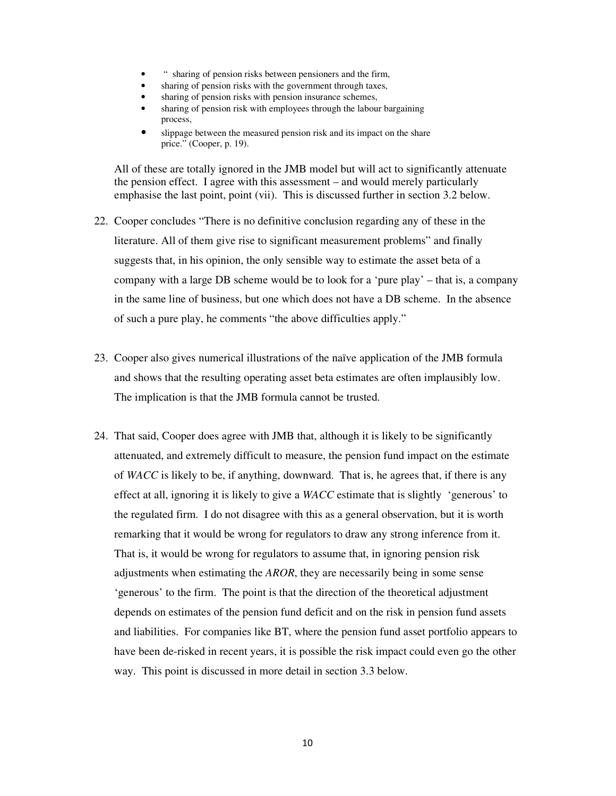- " sharing of pension risks between pensioners and the firm,
- sharing of pension risks with the government through taxes,
- sharing of pension risks with pension insurance schemes,
- sharing of pension risk with employees through the labour bargaining process,
- slippage between the measured pension risk and its impact on the share price." (Cooper, p. 19).

All of these are totally ignored in the JMB model but will act to significantly attenuate the pension effect. I agree with this assessment – and would merely particularly emphasise the last point, point (vii). This is discussed further in section 3.2 below.

- 22. Cooper concludes "There is no definitive conclusion regarding any of these in the literature. All of them give rise to significant measurement problems" and finally suggests that, in his opinion, the only sensible way to estimate the asset beta of a company with a large DB scheme would be to look for a 'pure play' – that is, a company in the same line of business, but one which does not have a DB scheme. In the absence of such a pure play, he comments "the above difficulties apply."
- 23. Cooper also gives numerical illustrations of the naïve application of the JMB formula and shows that the resulting operating asset beta estimates are often implausibly low. The implication is that the JMB formula cannot be trusted.
- 24. That said, Cooper does agree with JMB that, although it is likely to be significantly attenuated, and extremely difficult to measure, the pension fund impact on the estimate of *WACC* is likely to be, if anything, downward. That is, he agrees that, if there is any effect at all, ignoring it is likely to give a *WACC* estimate that is slightly 'generous' to the regulated firm. I do not disagree with this as a general observation, but it is worth remarking that it would be wrong for regulators to draw any strong inference from it. That is, it would be wrong for regulators to assume that, in ignoring pension risk adjustments when estimating the *AROR*, they are necessarily being in some sense 'generous' to the firm. The point is that the direction of the theoretical adjustment depends on estimates of the pension fund deficit and on the risk in pension fund assets and liabilities. For companies like BT, where the pension fund asset portfolio appears to have been de-risked in recent years, it is possible the risk impact could even go the other way. This point is discussed in more detail in section 3.3 below.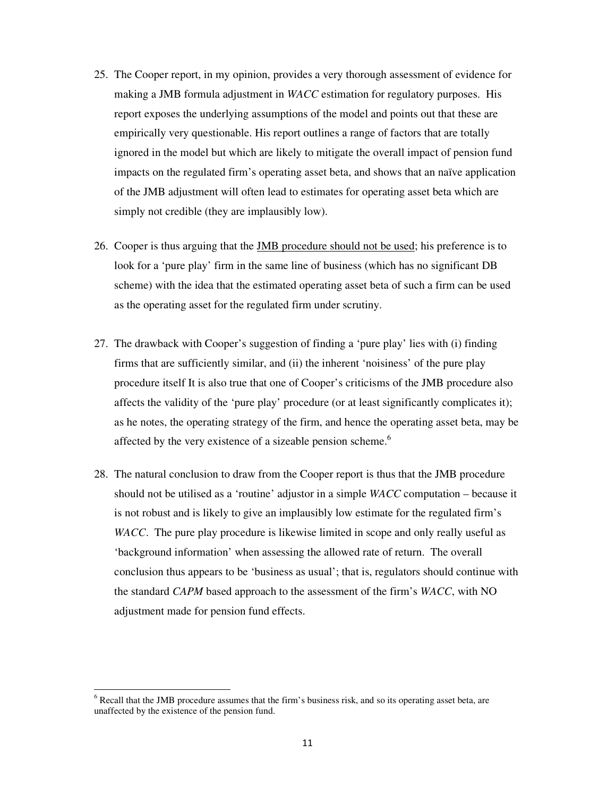- 25. The Cooper report, in my opinion, provides a very thorough assessment of evidence for making a JMB formula adjustment in *WACC* estimation for regulatory purposes. His report exposes the underlying assumptions of the model and points out that these are empirically very questionable. His report outlines a range of factors that are totally ignored in the model but which are likely to mitigate the overall impact of pension fund impacts on the regulated firm's operating asset beta, and shows that an naïve application of the JMB adjustment will often lead to estimates for operating asset beta which are simply not credible (they are implausibly low).
- 26. Cooper is thus arguing that the JMB procedure should not be used; his preference is to look for a 'pure play' firm in the same line of business (which has no significant DB scheme) with the idea that the estimated operating asset beta of such a firm can be used as the operating asset for the regulated firm under scrutiny.
- 27. The drawback with Cooper's suggestion of finding a 'pure play' lies with (i) finding firms that are sufficiently similar, and (ii) the inherent 'noisiness' of the pure play procedure itself It is also true that one of Cooper's criticisms of the JMB procedure also affects the validity of the 'pure play' procedure (or at least significantly complicates it); as he notes, the operating strategy of the firm, and hence the operating asset beta, may be affected by the very existence of a sizeable pension scheme.<sup>6</sup>
- 28. The natural conclusion to draw from the Cooper report is thus that the JMB procedure should not be utilised as a 'routine' adjustor in a simple *WACC* computation – because it is not robust and is likely to give an implausibly low estimate for the regulated firm's *WACC*. The pure play procedure is likewise limited in scope and only really useful as 'background information' when assessing the allowed rate of return. The overall conclusion thus appears to be 'business as usual'; that is, regulators should continue with the standard *CAPM* based approach to the assessment of the firm's *WACC*, with NO adjustment made for pension fund effects.

 $6$  Recall that the JMB procedure assumes that the firm's business risk, and so its operating asset beta, are unaffected by the existence of the pension fund.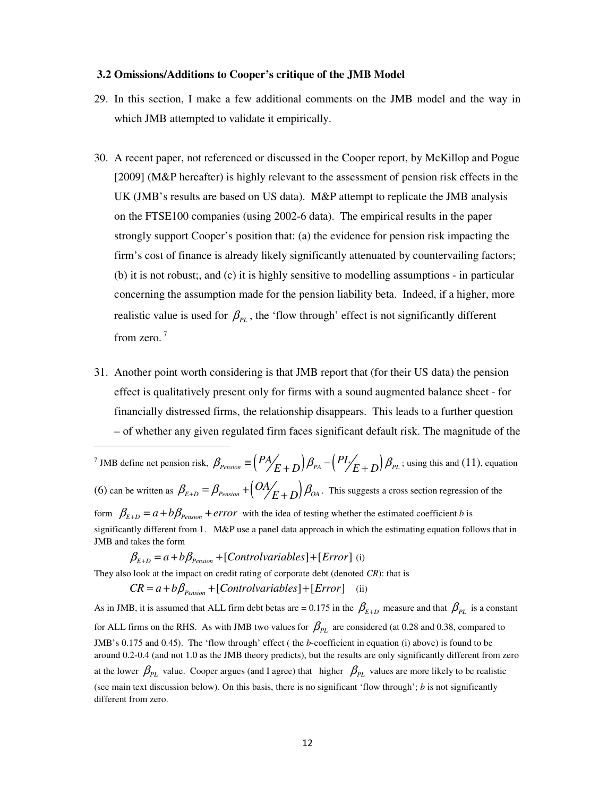#### **3.2 Omissions/Additions to Cooper's critique of the JMB Model**

- 29. In this section, I make a few additional comments on the JMB model and the way in which JMB attempted to validate it empirically.
- 30. A recent paper, not referenced or discussed in the Cooper report, by McKillop and Pogue [2009] (M&P hereafter) is highly relevant to the assessment of pension risk effects in the UK (JMB's results are based on US data). M&P attempt to replicate the JMB analysis on the FTSE100 companies (using 2002-6 data). The empirical results in the paper strongly support Cooper's position that: (a) the evidence for pension risk impacting the firm's cost of finance is already likely significantly attenuated by countervailing factors; (b) it is not robust;, and (c) it is highly sensitive to modelling assumptions - in particular concerning the assumption made for the pension liability beta. Indeed, if a higher, more realistic value is used for  $\beta_{PL}$ , the 'flow through' effect is not significantly different from zero.<sup>7</sup>
- 31. Another point worth considering is that JMB report that (for their US data) the pension effect is qualitatively present only for firms with a sound augmented balance sheet - for financially distressed firms, the relationship disappears. This leads to a further question – of whether any given regulated firm faces significant default risk. The magnitude of the

<sup>7</sup> JMB define net pension risk,  $\beta_{Pension} \equiv \left( \frac{PA}{E+D} \right) \beta_{PA} - \left( \frac{PL}{E+D} \right) \beta_{PL}$  $\beta_{\text{Pension}} \equiv \left(\frac{PA}{E+D}\right) \beta_{\text{PA}} - \left(\frac{PL}{E+D}\right) \beta_{\text{PL}}$ ; using this and (11), equation (6) can be written as  $\beta_{E+D} = \beta_{Pension} + (OA / E + D) \beta_{OA}$  $\beta_{E+D} = \beta_{Pension} + (O_2/_{E+D}) \beta_{OA}$ . This suggests a cross section regression of the form  $\beta_{E+D} = a + b\beta_{Pension} + error$  with the idea of testing whether the estimated coefficient *b* is significantly different from 1. M&P use a panel data approach in which the estimating equation follows that in JMB and takes the form

$$
\beta_{E+D} = a + b\beta_{Pension} + [Controlvariable s] + [Error]
$$
 (i)

------------------------------------------------------------

They also look at the impact on credit rating of corporate debt (denoted *CR*): that is

$$
CR = a + b\beta_{Pension} + [Control variables] + [Error]
$$
 (ii)

As in JMB, it is assumed that ALL firm debt betas are = 0.175 in the  $\beta_{E+D}$  measure and that  $\beta_{PL}$  is a constant for ALL firms on the RHS. As with JMB two values for  $\beta_{PL}$  are considered (at 0.28 and 0.38, compared to JMB's 0.175 and 0.45). The 'flow through' effect ( the *b*-coefficient in equation (i) above) is found to be around 0.2-0.4 (and not 1.0 as the JMB theory predicts), but the results are only significantly different from zero at the lower  $\beta_{PL}$  value. Cooper argues (and I agree) that higher  $\beta_{PL}$  values are more likely to be realistic (see main text discussion below). On this basis, there is no significant 'flow through'; *b* is not significantly different from zero.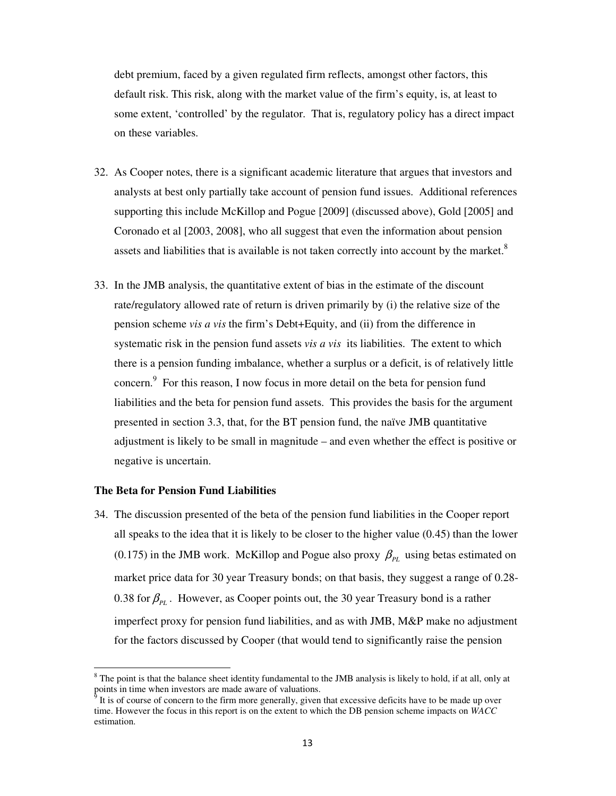debt premium, faced by a given regulated firm reflects, amongst other factors, this default risk. This risk, along with the market value of the firm's equity, is, at least to some extent, 'controlled' by the regulator. That is, regulatory policy has a direct impact on these variables.

- 32. As Cooper notes, there is a significant academic literature that argues that investors and analysts at best only partially take account of pension fund issues. Additional references supporting this include McKillop and Pogue [2009] (discussed above), Gold [2005] and Coronado et al [2003, 2008], who all suggest that even the information about pension assets and liabilities that is available is not taken correctly into account by the market. ${}^{8}$
- 33. In the JMB analysis, the quantitative extent of bias in the estimate of the discount rate/regulatory allowed rate of return is driven primarily by (i) the relative size of the pension scheme *vis a vis* the firm's Debt+Equity, and (ii) from the difference in systematic risk in the pension fund assets *vis a vis* its liabilities. The extent to which there is a pension funding imbalance, whether a surplus or a deficit, is of relatively little concern. 9 For this reason, I now focus in more detail on the beta for pension fund liabilities and the beta for pension fund assets. This provides the basis for the argument presented in section 3.3, that, for the BT pension fund, the naïve JMB quantitative adjustment is likely to be small in magnitude – and even whether the effect is positive or negative is uncertain.

#### **The Beta for Pension Fund Liabilities**

------------------------------------------------------------

34. The discussion presented of the beta of the pension fund liabilities in the Cooper report all speaks to the idea that it is likely to be closer to the higher value (0.45) than the lower (0.175) in the JMB work. McKillop and Pogue also proxy  $\beta_{PL}$  using betas estimated on market price data for 30 year Treasury bonds; on that basis, they suggest a range of 0.28- 0.38 for  $\beta_{PL}$  . However, as Cooper points out, the 30 year Treasury bond is a rather imperfect proxy for pension fund liabilities, and as with JMB, M&P make no adjustment for the factors discussed by Cooper (that would tend to significantly raise the pension

 $8$  The point is that the balance sheet identity fundamental to the JMB analysis is likely to hold, if at all, only at points in time when investors are made aware of valuations.

It is of course of concern to the firm more generally, given that excessive deficits have to be made up over time. However the focus in this report is on the extent to which the DB pension scheme impacts on *WACC* estimation.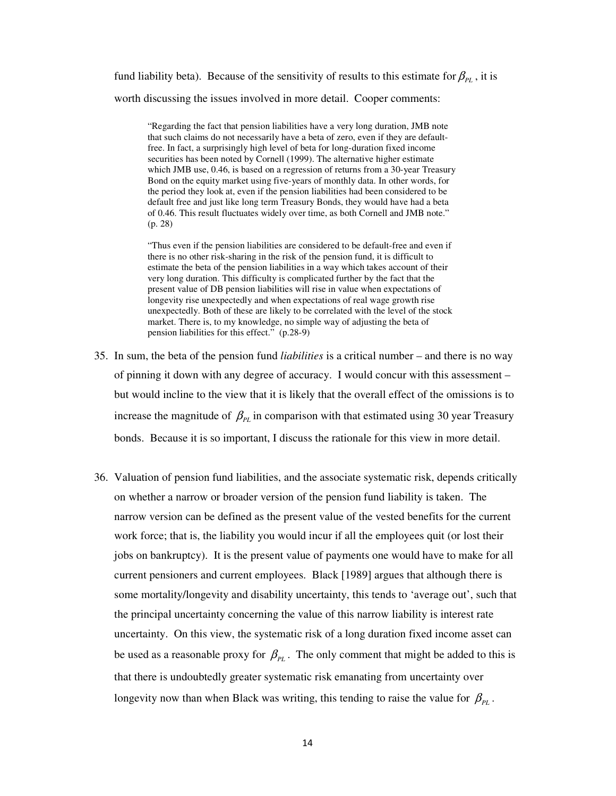fund liability beta). Because of the sensitivity of results to this estimate for  $\beta_{PL}$ , it is worth discussing the issues involved in more detail. Cooper comments:

"Regarding the fact that pension liabilities have a very long duration, JMB note that such claims do not necessarily have a beta of zero, even if they are defaultfree. In fact, a surprisingly high level of beta for long-duration fixed income securities has been noted by Cornell (1999). The alternative higher estimate which JMB use, 0.46, is based on a regression of returns from a 30-year Treasury Bond on the equity market using five-years of monthly data. In other words, for the period they look at, even if the pension liabilities had been considered to be default free and just like long term Treasury Bonds, they would have had a beta of 0.46. This result fluctuates widely over time, as both Cornell and JMB note." (p. 28)

"Thus even if the pension liabilities are considered to be default-free and even if there is no other risk-sharing in the risk of the pension fund, it is difficult to estimate the beta of the pension liabilities in a way which takes account of their very long duration. This difficulty is complicated further by the fact that the present value of DB pension liabilities will rise in value when expectations of longevity rise unexpectedly and when expectations of real wage growth rise unexpectedly. Both of these are likely to be correlated with the level of the stock market. There is, to my knowledge, no simple way of adjusting the beta of pension liabilities for this effect." (p.28-9)

- 35. In sum, the beta of the pension fund *liabilities* is a critical number and there is no way of pinning it down with any degree of accuracy. I would concur with this assessment – but would incline to the view that it is likely that the overall effect of the omissions is to increase the magnitude of  $\beta_{PL}$  in comparison with that estimated using 30 year Treasury bonds. Because it is so important, I discuss the rationale for this view in more detail.
- 36. Valuation of pension fund liabilities, and the associate systematic risk, depends critically on whether a narrow or broader version of the pension fund liability is taken. The narrow version can be defined as the present value of the vested benefits for the current work force; that is, the liability you would incur if all the employees quit (or lost their jobs on bankruptcy). It is the present value of payments one would have to make for all current pensioners and current employees. Black [1989] argues that although there is some mortality/longevity and disability uncertainty, this tends to 'average out', such that the principal uncertainty concerning the value of this narrow liability is interest rate uncertainty. On this view, the systematic risk of a long duration fixed income asset can be used as a reasonable proxy for  $\beta_{PL}$ . The only comment that might be added to this is that there is undoubtedly greater systematic risk emanating from uncertainty over longevity now than when Black was writing, this tending to raise the value for  $\beta_{PL}$ .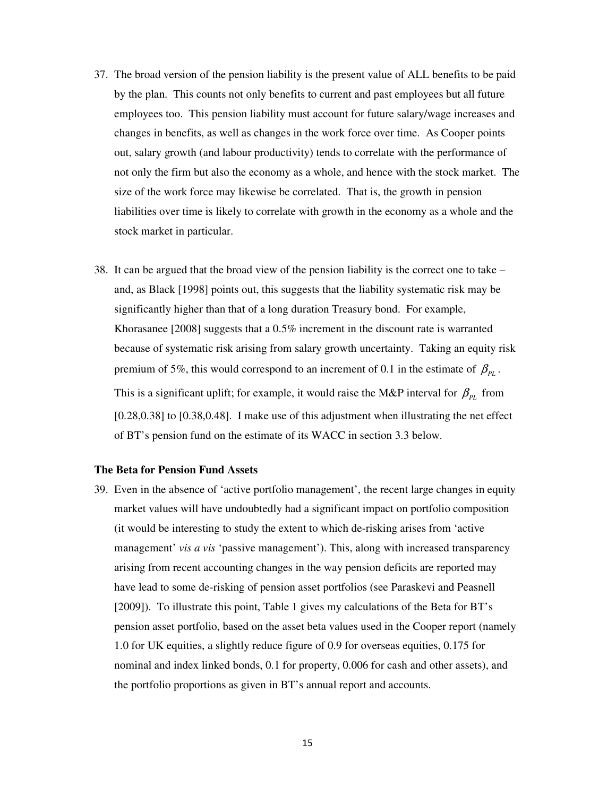- 37. The broad version of the pension liability is the present value of ALL benefits to be paid by the plan. This counts not only benefits to current and past employees but all future employees too. This pension liability must account for future salary/wage increases and changes in benefits, as well as changes in the work force over time. As Cooper points out, salary growth (and labour productivity) tends to correlate with the performance of not only the firm but also the economy as a whole, and hence with the stock market. The size of the work force may likewise be correlated. That is, the growth in pension liabilities over time is likely to correlate with growth in the economy as a whole and the stock market in particular.
- 38. It can be argued that the broad view of the pension liability is the correct one to take and, as Black [1998] points out, this suggests that the liability systematic risk may be significantly higher than that of a long duration Treasury bond. For example, Khorasanee [2008] suggests that a 0.5% increment in the discount rate is warranted because of systematic risk arising from salary growth uncertainty. Taking an equity risk premium of 5%, this would correspond to an increment of 0.1 in the estimate of  $\beta_{PL}$ . This is a significant uplift; for example, it would raise the M&P interval for  $\beta_{PL}$  from [0.28,0.38] to [0.38,0.48]. I make use of this adjustment when illustrating the net effect of BT's pension fund on the estimate of its WACC in section 3.3 below.

#### **The Beta for Pension Fund Assets**

39. Even in the absence of 'active portfolio management', the recent large changes in equity market values will have undoubtedly had a significant impact on portfolio composition (it would be interesting to study the extent to which de-risking arises from 'active management' *vis a vis* 'passive management'). This, along with increased transparency arising from recent accounting changes in the way pension deficits are reported may have lead to some de-risking of pension asset portfolios (see Paraskevi and Peasnell [2009]). To illustrate this point, Table 1 gives my calculations of the Beta for BT's pension asset portfolio, based on the asset beta values used in the Cooper report (namely 1.0 for UK equities, a slightly reduce figure of 0.9 for overseas equities, 0.175 for nominal and index linked bonds, 0.1 for property, 0.006 for cash and other assets), and the portfolio proportions as given in BT's annual report and accounts.

15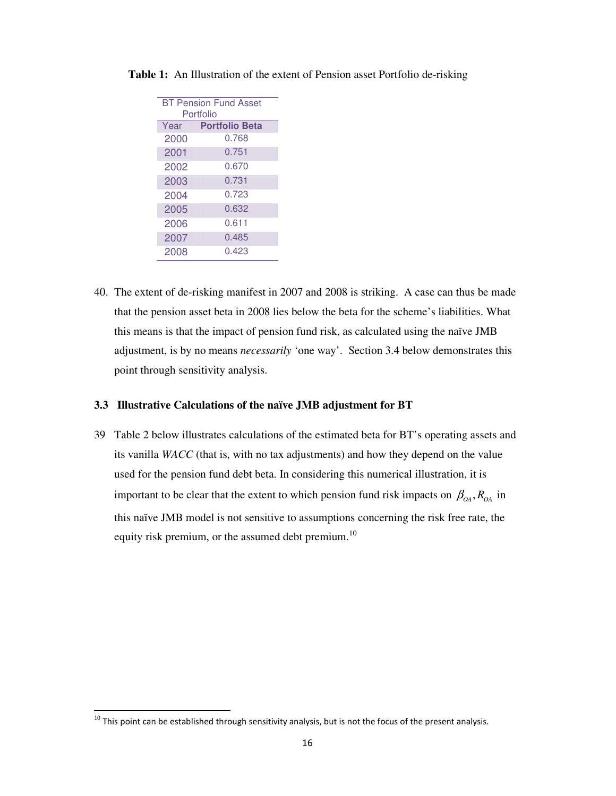| <b>BT Pension Fund Asset</b><br>Portfolio |                       |  |  |  |
|-------------------------------------------|-----------------------|--|--|--|
| Year                                      | <b>Portfolio Beta</b> |  |  |  |
| 2000                                      | 0.768                 |  |  |  |
| 2001                                      | 0.751                 |  |  |  |
| 2002                                      | 0.670                 |  |  |  |
| 2003                                      | 0.731                 |  |  |  |
| 2004                                      | 0.723                 |  |  |  |
| 2005                                      | 0.632                 |  |  |  |
| 2006                                      | 0.611                 |  |  |  |
| 2007                                      | 0.485                 |  |  |  |
| 2008                                      | 0.423                 |  |  |  |
|                                           |                       |  |  |  |

**Table 1:** An Illustration of the extent of Pension asset Portfolio de-risking

40. The extent of de-risking manifest in 2007 and 2008 is striking. A case can thus be made that the pension asset beta in 2008 lies below the beta for the scheme's liabilities. What this means is that the impact of pension fund risk, as calculated using the naïve JMB adjustment, is by no means *necessarily* 'one way'. Section 3.4 below demonstrates this point through sensitivity analysis.

#### **3.3 Illustrative Calculations of the naïve JMB adjustment for BT**

39 Table 2 below illustrates calculations of the estimated beta for BT's operating assets and its vanilla *WACC* (that is, with no tax adjustments) and how they depend on the value used for the pension fund debt beta. In considering this numerical illustration, it is important to be clear that the extent to which pension fund risk impacts on  $\beta_{OA}$ ,  $R_{OA}$  in this naïve JMB model is not sensitive to assumptions concerning the risk free rate, the equity risk premium, or the assumed debt premium.<sup>10</sup>

<sup>-</sup>-----------------------------------------------------------  !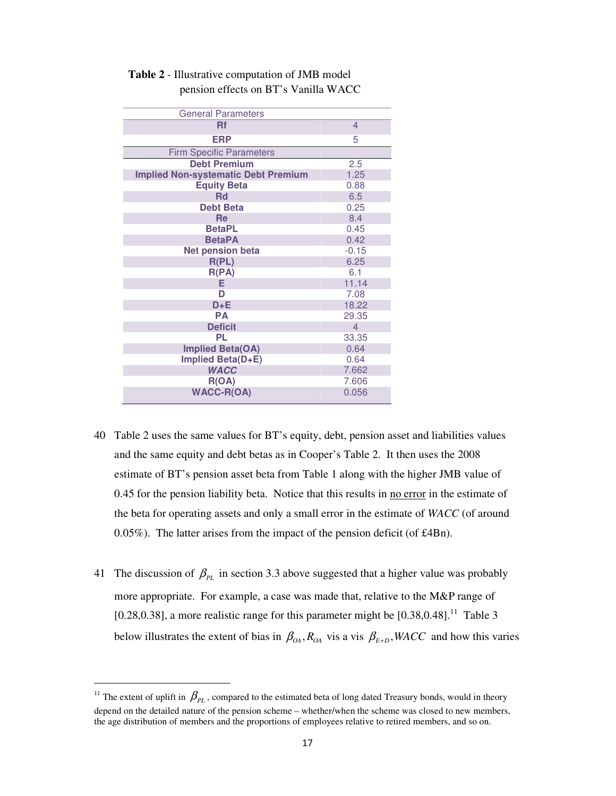| <b>General Parameters</b>                  |                |
|--------------------------------------------|----------------|
| <b>Rf</b>                                  | $\overline{4}$ |
| <b>ERP</b>                                 | 5              |
| <b>Firm Specific Parameters</b>            |                |
| <b>Debt Premium</b>                        | 2.5            |
| <b>Implied Non-systematic Debt Premium</b> | 1.25           |
| <b>Equity Beta</b>                         | 0.88           |
| <b>Rd</b>                                  | 6.5            |
| <b>Debt Beta</b>                           | 0.25           |
| Re                                         | 8.4            |
| <b>BetaPL</b>                              | 0.45           |
| <b>BetaPA</b>                              | 0.42           |
| <b>Net pension beta</b>                    | $-0.15$        |
| R(PL)                                      | 6.25           |
| R(PA)                                      | 6.1            |
| E.                                         | 11.14          |
| D                                          | 7.08           |
| $D + E$                                    | 18.22          |
| <b>PA</b>                                  | 29.35          |
| <b>Deficit</b>                             | $\overline{4}$ |
| <b>PL</b>                                  | 33.35          |
| <b>Implied Beta(OA)</b>                    | 0.64           |
| Implied Beta(D+E)                          | 0.64           |
| <b>WACC</b>                                | 7.662          |
| R(OA)                                      | 7.606          |
| <b>WACC-R(OA)</b>                          | 0.056          |

## **Table 2** - Illustrative computation of JMB model pension effects on BT's Vanilla WACC

- 40 Table 2 uses the same values for BT's equity, debt, pension asset and liabilities values and the same equity and debt betas as in Cooper's Table 2. It then uses the 2008 estimate of BT's pension asset beta from Table 1 along with the higher JMB value of 0.45 for the pension liability beta. Notice that this results in <u>no error</u> in the estimate of the beta for operating assets and only a small error in the estimate of *WACC* (of around 0.05%). The latter arises from the impact of the pension deficit (of £4Bn).
- 41 The discussion of  $\beta_{PL}$  in section 3.3 above suggested that a higher value was probably more appropriate. For example, a case was made that, relative to the M&P range of [0.28,0.38], a more realistic range for this parameter might be  $[0.38, 0.48]$ .<sup>11</sup> Table 3 below illustrates the extent of bias in  $\beta_{OA}$ ,  $R_{OA}$  vis a vis  $\beta_{E+D}$ , WACC and how this varies

<sup>&</sup>lt;sup>11</sup> The extent of uplift in  $\beta_{PL}$ , compared to the estimated beta of long dated Treasury bonds, would in theory depend on the detailed nature of the pension scheme – whether/when the scheme was closed to new members, the age distribution of members and the proportions of employees relative to retired members, and so on.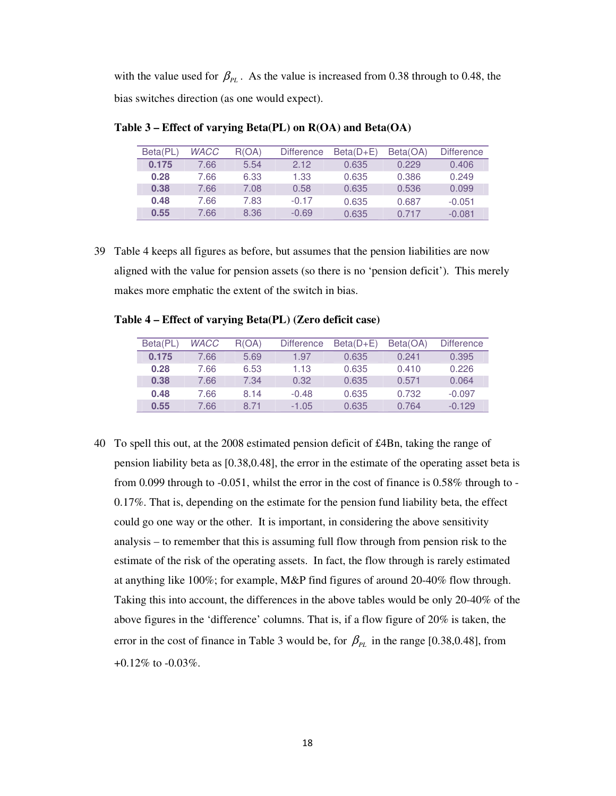with the value used for  $\beta_{PL}$ . As the value is increased from 0.38 through to 0.48, the bias switches direction (as one would expect).

|  | Beta(PL) | <b>WACC</b> | R(OA) | <b>Difference</b> | $Beta(D+E)$ | Beta(OA) | <b>Difference</b> |
|--|----------|-------------|-------|-------------------|-------------|----------|-------------------|
|  | 0.175    | 7.66        | 5.54  | 2.12              | 0.635       | 0.229    | 0.406             |
|  | 0.28     | 7.66        | 6.33  | 1.33              | 0.635       | 0.386    | 0.249             |
|  | 0.38     | 7.66        | 7.08  | 0.58              | 0.635       | 0.536    | 0.099             |
|  | 0.48     | 7.66        | 7.83  | $-0.17$           | 0.635       | 0.687    | $-0.051$          |
|  | 0.55     | 7.66        | 8.36  | $-0.69$           | 0.635       | 0.717    | $-0.081$          |

**Table 3 – Effect of varying Beta(PL) on R(OA) and Beta(OA)**

39 Table 4 keeps all figures as before, but assumes that the pension liabilities are now aligned with the value for pension assets (so there is no 'pension deficit'). This merely makes more emphatic the extent of the switch in bias.

|  |  |  | Table 4 – Effect of varying Beta(PL) (Zero deficit case) |  |  |  |
|--|--|--|----------------------------------------------------------|--|--|--|
|--|--|--|----------------------------------------------------------|--|--|--|

| Beta(PL) | <b>WACC</b> | R(OA) | <b>Difference</b> | $Beta(D+E)$ | Beta(OA) | <b>Difference</b> |
|----------|-------------|-------|-------------------|-------------|----------|-------------------|
| 0.175    | 7.66        | 5.69  | 1.97              | 0.635       | 0.241    | 0.395             |
| 0.28     | 7.66        | 6.53  | 1.13              | 0.635       | 0.410    | 0.226             |
| 0.38     | 7.66        | 7.34  | 0.32              | 0.635       | 0.571    | 0.064             |
| 0.48     | 7.66        | 8.14  | $-0.48$           | 0.635       | 0.732    | $-0.097$          |
| 0.55     | 7.66        | 8 71  | $-1.05$           | 0.635       | 0.764    | $-0.129$          |

40 To spell this out, at the 2008 estimated pension deficit of £4Bn, taking the range of pension liability beta as [0.38,0.48], the error in the estimate of the operating asset beta is from 0.099 through to  $-0.051$ , whilst the error in the cost of finance is  $0.58\%$  through to  $-$ 0.17%. That is, depending on the estimate for the pension fund liability beta, the effect could go one way or the other. It is important, in considering the above sensitivity analysis – to remember that this is assuming full flow through from pension risk to the estimate of the risk of the operating assets. In fact, the flow through is rarely estimated at anything like 100%; for example, M&P find figures of around 20-40% flow through. Taking this into account, the differences in the above tables would be only 20-40% of the above figures in the 'difference' columns. That is, if a flow figure of 20% is taken, the error in the cost of finance in Table 3 would be, for  $\beta_{PL}$  in the range [0.38,0.48], from +0.12% to -0.03%.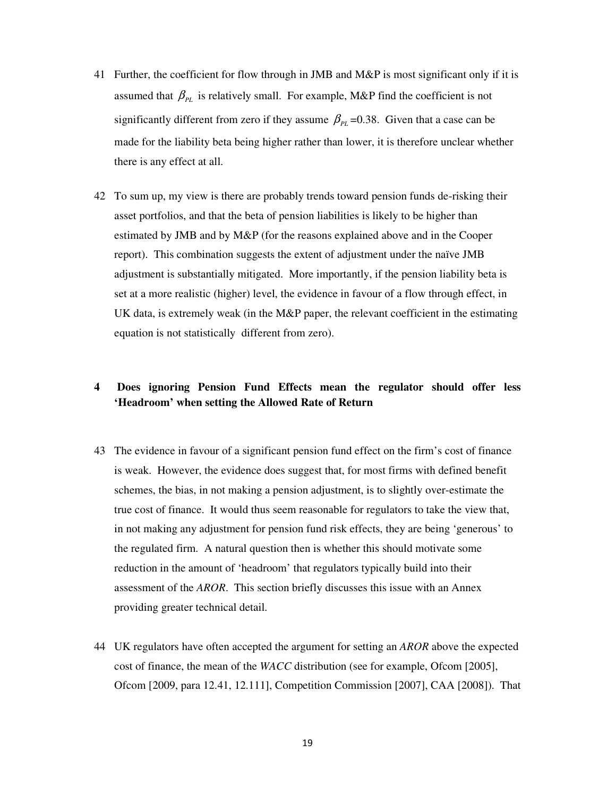- 41 Further, the coefficient for flow through in JMB and M&P is most significant only if it is assumed that  $\beta_{PL}$  is relatively small. For example, M&P find the coefficient is not significantly different from zero if they assume  $\beta_{PL}$  =0.38. Given that a case can be made for the liability beta being higher rather than lower, it is therefore unclear whether there is any effect at all.
- 42 To sum up, my view is there are probably trends toward pension funds de-risking their asset portfolios, and that the beta of pension liabilities is likely to be higher than estimated by JMB and by M&P (for the reasons explained above and in the Cooper report). This combination suggests the extent of adjustment under the naïve JMB adjustment is substantially mitigated. More importantly, if the pension liability beta is set at a more realistic (higher) level, the evidence in favour of a flow through effect, in UK data, is extremely weak (in the M&P paper, the relevant coefficient in the estimating equation is not statistically different from zero).

# **4 Does ignoring Pension Fund Effects mean the regulator should offer less 'Headroom' when setting the Allowed Rate of Return**

- 43 The evidence in favour of a significant pension fund effect on the firm's cost of finance is weak. However, the evidence does suggest that, for most firms with defined benefit schemes, the bias, in not making a pension adjustment, is to slightly over-estimate the true cost of finance. It would thus seem reasonable for regulators to take the view that, in not making any adjustment for pension fund risk effects, they are being 'generous' to the regulated firm. A natural question then is whether this should motivate some reduction in the amount of 'headroom' that regulators typically build into their assessment of the *AROR*. This section briefly discusses this issue with an Annex providing greater technical detail.
- 44 UK regulators have often accepted the argument for setting an *AROR* above the expected cost of finance, the mean of the *WACC* distribution (see for example, Ofcom [2005], Ofcom [2009, para 12.41, 12.111], Competition Commission [2007], CAA [2008]). That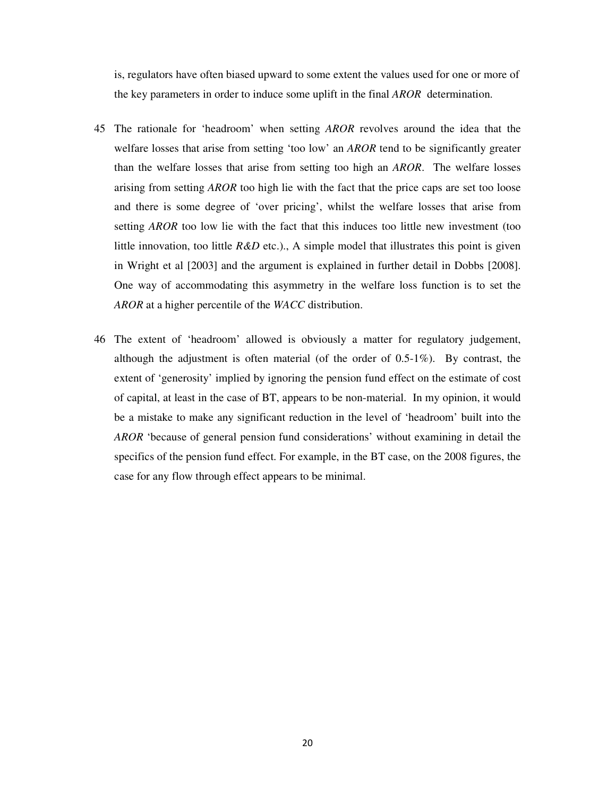is, regulators have often biased upward to some extent the values used for one or more of the key parameters in order to induce some uplift in the final *AROR* determination.

- 45 The rationale for 'headroom' when setting *AROR* revolves around the idea that the welfare losses that arise from setting 'too low' an *AROR* tend to be significantly greater than the welfare losses that arise from setting too high an *AROR*. The welfare losses arising from setting *AROR* too high lie with the fact that the price caps are set too loose and there is some degree of 'over pricing', whilst the welfare losses that arise from setting *AROR* too low lie with the fact that this induces too little new investment (too little innovation, too little  $R\&D$  etc.)., A simple model that illustrates this point is given in Wright et al [2003] and the argument is explained in further detail in Dobbs [2008]. One way of accommodating this asymmetry in the welfare loss function is to set the *AROR* at a higher percentile of the *WACC* distribution.
- 46 The extent of 'headroom' allowed is obviously a matter for regulatory judgement, although the adjustment is often material (of the order of 0.5-1%). By contrast, the extent of 'generosity' implied by ignoring the pension fund effect on the estimate of cost of capital, at least in the case of BT, appears to be non-material. In my opinion, it would be a mistake to make any significant reduction in the level of 'headroom' built into the *AROR* 'because of general pension fund considerations' without examining in detail the specifics of the pension fund effect. For example, in the BT case, on the 2008 figures, the case for any flow through effect appears to be minimal.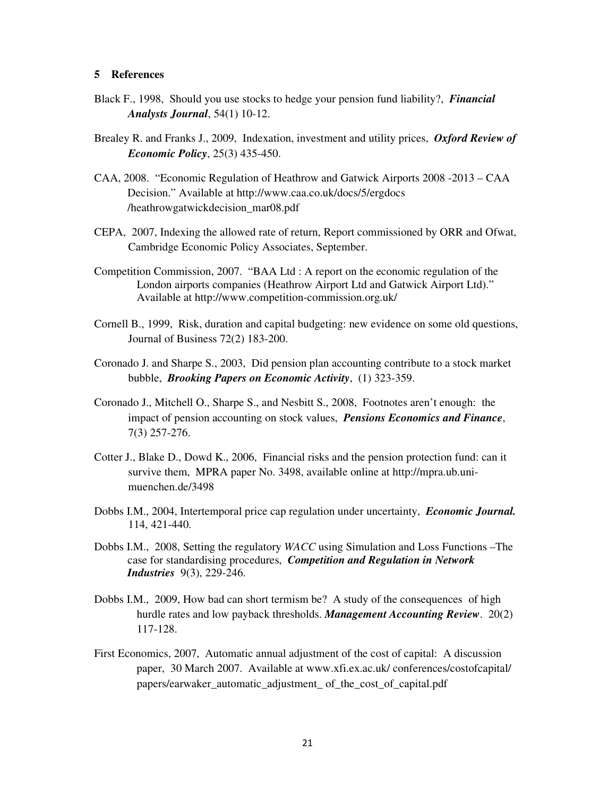#### **5 References**

- Black F., 1998, Should you use stocks to hedge your pension fund liability?, *Financial Analysts Journal*, 54(1) 10-12.
- Brealey R. and Franks J., 2009, Indexation, investment and utility prices, *Oxford Review of Economic Policy*, 25(3) 435-450.
- CAA, 2008. "Economic Regulation of Heathrow and Gatwick Airports 2008 -2013 CAA Decision." Available at http://www.caa.co.uk/docs/5/ergdocs /heathrowgatwickdecision\_mar08.pdf
- CEPA, 2007, Indexing the allowed rate of return, Report commissioned by ORR and Ofwat, Cambridge Economic Policy Associates, September.
- Competition Commission, 2007. "BAA Ltd : A report on the economic regulation of the London airports companies (Heathrow Airport Ltd and Gatwick Airport Ltd)." Available at http://www.competition-commission.org.uk/
- Cornell B., 1999, Risk, duration and capital budgeting: new evidence on some old questions, Journal of Business 72(2) 183-200.
- Coronado J. and Sharpe S., 2003, Did pension plan accounting contribute to a stock market bubble, *Brooking Papers on Economic Activity*, (1) 323-359.
- Coronado J., Mitchell O., Sharpe S., and Nesbitt S., 2008, Footnotes aren't enough: the impact of pension accounting on stock values, *Pensions Economics and Finance*, 7(3) 257-276.
- Cotter J., Blake D., Dowd K., 2006, Financial risks and the pension protection fund: can it survive them, MPRA paper No. 3498, available online at http://mpra.ub.unimuenchen.de/3498
- Dobbs I.M., 2004, Intertemporal price cap regulation under uncertainty, *Economic Journal.* 114, 421-440.
- Dobbs I.M., 2008, Setting the regulatory *WACC* using Simulation and Loss Functions –The case for standardising procedures, *Competition and Regulation in Network Industries* 9(3), 229-246.
- Dobbs I.M., 2009, How bad can short termism be? A study of the consequences of high hurdle rates and low payback thresholds. *Management Accounting Review*. 20(2) 117-128.
- First Economics, 2007, Automatic annual adjustment of the cost of capital: A discussion paper, 30 March 2007. Available at www.xfi.ex.ac.uk/ conferences/costofcapital/ papers/earwaker\_automatic\_adjustment\_ of\_the\_cost\_of\_capital.pdf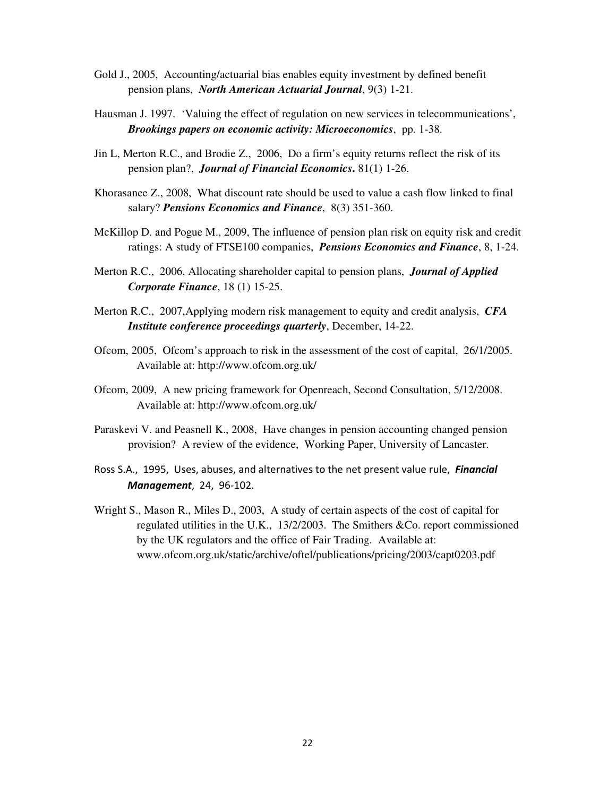- Gold J., 2005, Accounting/actuarial bias enables equity investment by defined benefit pension plans, *North American Actuarial Journal*, 9(3) 1-21.
- Hausman J. 1997. 'Valuing the effect of regulation on new services in telecommunications', *Brookings papers on economic activity: Microeconomics*, pp. 1-38.
- Jin L, Merton R.C., and Brodie Z., 2006, Do a firm's equity returns reflect the risk of its pension plan?, *Journal of Financial Economics***.** 81(1) 1-26.
- Khorasanee Z., 2008, What discount rate should be used to value a cash flow linked to final salary? *Pensions Economics and Finance*, 8(3) 351-360.
- McKillop D. and Pogue M., 2009, The influence of pension plan risk on equity risk and credit ratings: A study of FTSE100 companies, *Pensions Economics and Finance*, 8, 1-24.
- Merton R.C., 2006, Allocating shareholder capital to pension plans, *Journal of Applied Corporate Finance*, 18 (1) 15-25.
- Merton R.C., 2007,Applying modern risk management to equity and credit analysis, *CFA Institute conference proceedings quarterly*, December, 14-22.
- Ofcom, 2005, Ofcom's approach to risk in the assessment of the cost of capital, 26/1/2005. Available at: http://www.ofcom.org.uk/
- Ofcom, 2009, A new pricing framework for Openreach, Second Consultation, 5/12/2008. Available at: http://www.ofcom.org.uk/
- Paraskevi V. and Peasnell K., 2008, Have changes in pension accounting changed pension provision? A review of the evidence, Working Paper, University of Lancaster.
- Ross S.A., 1995, Uses, abuses, and alternatives to the net present value rule, Financial Management, 24, 96-102.
- Wright S., Mason R., Miles D., 2003, A study of certain aspects of the cost of capital for regulated utilities in the U.K., 13/2/2003. The Smithers &Co. report commissioned by the UK regulators and the office of Fair Trading. Available at: www.ofcom.org.uk/static/archive/oftel/publications/pricing/2003/capt0203.pdf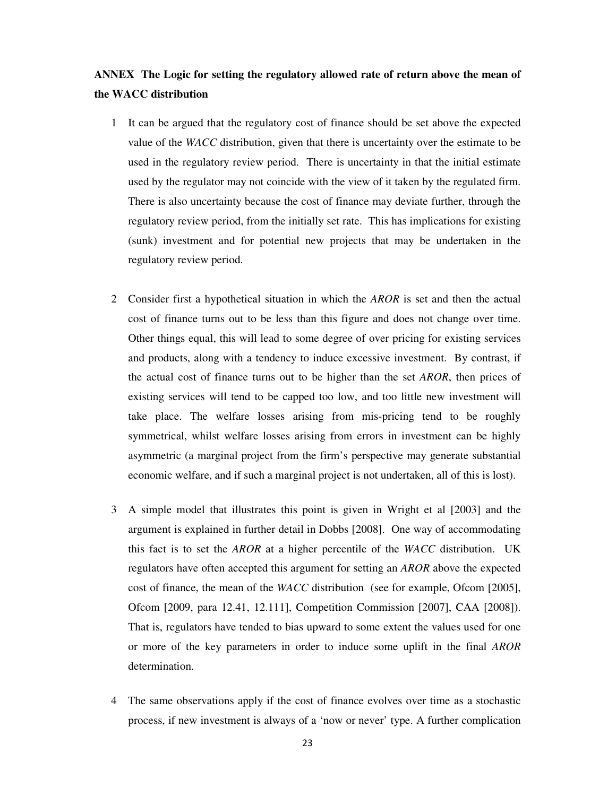# **ANNEX The Logic for setting the regulatory allowed rate of return above the mean of the WACC distribution**

- 1 It can be argued that the regulatory cost of finance should be set above the expected value of the *WACC* distribution, given that there is uncertainty over the estimate to be used in the regulatory review period. There is uncertainty in that the initial estimate used by the regulator may not coincide with the view of it taken by the regulated firm. There is also uncertainty because the cost of finance may deviate further, through the regulatory review period, from the initially set rate. This has implications for existing (sunk) investment and for potential new projects that may be undertaken in the regulatory review period.
- 2 Consider first a hypothetical situation in which the *AROR* is set and then the actual cost of finance turns out to be less than this figure and does not change over time. Other things equal, this will lead to some degree of over pricing for existing services and products, along with a tendency to induce excessive investment. By contrast, if the actual cost of finance turns out to be higher than the set *AROR*, then prices of existing services will tend to be capped too low, and too little new investment will take place. The welfare losses arising from mis-pricing tend to be roughly symmetrical, whilst welfare losses arising from errors in investment can be highly asymmetric (a marginal project from the firm's perspective may generate substantial economic welfare, and if such a marginal project is not undertaken, all of this is lost).
- 3 A simple model that illustrates this point is given in Wright et al [2003] and the argument is explained in further detail in Dobbs [2008]. One way of accommodating this fact is to set the *AROR* at a higher percentile of the *WACC* distribution. UK regulators have often accepted this argument for setting an *AROR* above the expected cost of finance, the mean of the *WACC* distribution (see for example, Ofcom [2005], Ofcom [2009, para 12.41, 12.111], Competition Commission [2007], CAA [2008]). That is, regulators have tended to bias upward to some extent the values used for one or more of the key parameters in order to induce some uplift in the final *AROR* determination.
- 4 The same observations apply if the cost of finance evolves over time as a stochastic process, if new investment is always of a 'now or never' type. A further complication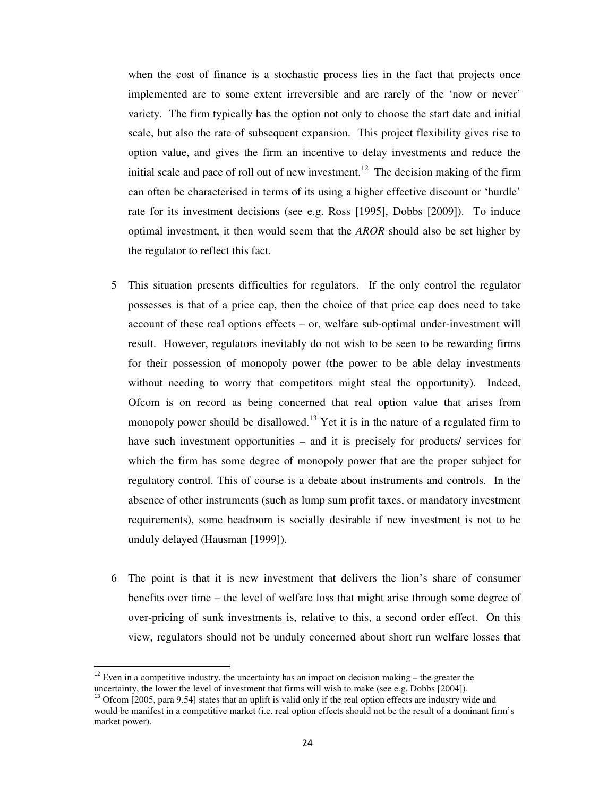when the cost of finance is a stochastic process lies in the fact that projects once implemented are to some extent irreversible and are rarely of the 'now or never' variety. The firm typically has the option not only to choose the start date and initial scale, but also the rate of subsequent expansion. This project flexibility gives rise to option value, and gives the firm an incentive to delay investments and reduce the initial scale and pace of roll out of new investment.<sup>12</sup> The decision making of the firm can often be characterised in terms of its using a higher effective discount or 'hurdle' rate for its investment decisions (see e.g. Ross [1995], Dobbs [2009]). To induce optimal investment, it then would seem that the *AROR* should also be set higher by the regulator to reflect this fact.

- 5 This situation presents difficulties for regulators. If the only control the regulator possesses is that of a price cap, then the choice of that price cap does need to take account of these real options effects – or, welfare sub-optimal under-investment will result. However, regulators inevitably do not wish to be seen to be rewarding firms for their possession of monopoly power (the power to be able delay investments without needing to worry that competitors might steal the opportunity). Indeed, Ofcom is on record as being concerned that real option value that arises from monopoly power should be disallowed.<sup>13</sup> Yet it is in the nature of a regulated firm to have such investment opportunities – and it is precisely for products/ services for which the firm has some degree of monopoly power that are the proper subject for regulatory control. This of course is a debate about instruments and controls. In the absence of other instruments (such as lump sum profit taxes, or mandatory investment requirements), some headroom is socially desirable if new investment is not to be unduly delayed (Hausman [1999]).
- 6 The point is that it is new investment that delivers the lion's share of consumer benefits over time – the level of welfare loss that might arise through some degree of over-pricing of sunk investments is, relative to this, a second order effect. On this view, regulators should not be unduly concerned about short run welfare losses that

 $12$  Even in a competitive industry, the uncertainty has an impact on decision making – the greater the uncertainty, the lower the level of investment that firms will wish to make (see e.g. Dobbs [2004]).

 $\delta$  Ofcom [2005, para 9.54] states that an uplift is valid only if the real option effects are industry wide and would be manifest in a competitive market (i.e. real option effects should not be the result of a dominant firm's market power).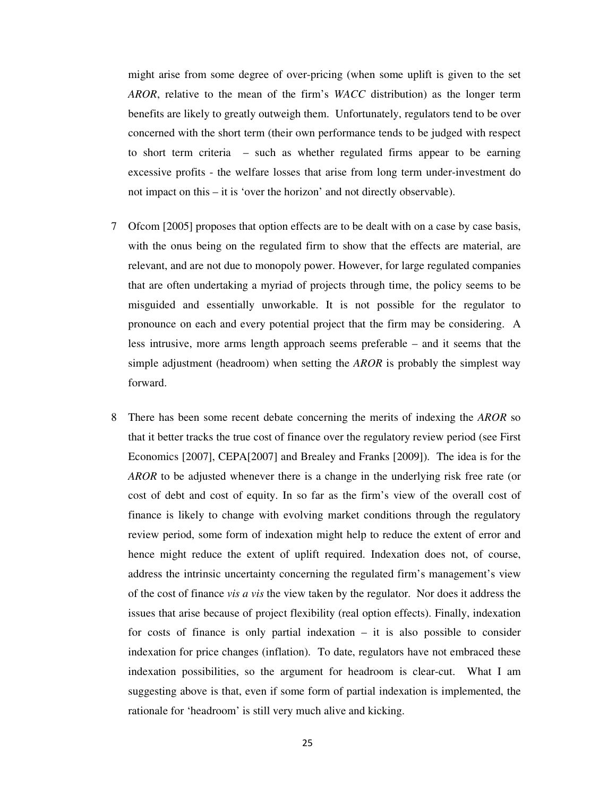might arise from some degree of over-pricing (when some uplift is given to the set *AROR*, relative to the mean of the firm's *WACC* distribution) as the longer term benefits are likely to greatly outweigh them. Unfortunately, regulators tend to be over concerned with the short term (their own performance tends to be judged with respect to short term criteria – such as whether regulated firms appear to be earning excessive profits - the welfare losses that arise from long term under-investment do not impact on this – it is 'over the horizon' and not directly observable).

- 7 Ofcom [2005] proposes that option effects are to be dealt with on a case by case basis, with the onus being on the regulated firm to show that the effects are material, are relevant, and are not due to monopoly power. However, for large regulated companies that are often undertaking a myriad of projects through time, the policy seems to be misguided and essentially unworkable. It is not possible for the regulator to pronounce on each and every potential project that the firm may be considering. A less intrusive, more arms length approach seems preferable – and it seems that the simple adjustment (headroom) when setting the *AROR* is probably the simplest way forward.
- 8 There has been some recent debate concerning the merits of indexing the *AROR* so that it better tracks the true cost of finance over the regulatory review period (see First Economics [2007], CEPA[2007] and Brealey and Franks [2009]). The idea is for the *AROR* to be adjusted whenever there is a change in the underlying risk free rate (or cost of debt and cost of equity. In so far as the firm's view of the overall cost of finance is likely to change with evolving market conditions through the regulatory review period, some form of indexation might help to reduce the extent of error and hence might reduce the extent of uplift required. Indexation does not, of course, address the intrinsic uncertainty concerning the regulated firm's management's view of the cost of finance *vis a vis* the view taken by the regulator. Nor does it address the issues that arise because of project flexibility (real option effects). Finally, indexation for costs of finance is only partial indexation – it is also possible to consider indexation for price changes (inflation). To date, regulators have not embraced these indexation possibilities, so the argument for headroom is clear-cut. What I am suggesting above is that, even if some form of partial indexation is implemented, the rationale for 'headroom' is still very much alive and kicking.